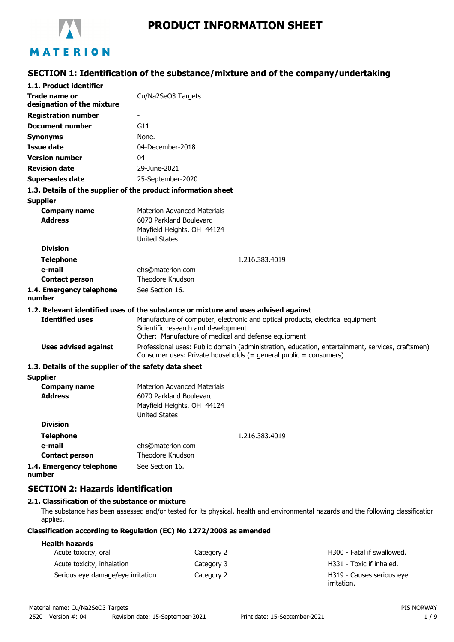

# MATERION

## **SECTION 1: Identification of the substance/mixture and of the company/undertaking**

| 1.1. Product identifier                               |                                                                                                                                                                              |  |
|-------------------------------------------------------|------------------------------------------------------------------------------------------------------------------------------------------------------------------------------|--|
| Trade name or<br>designation of the mixture           | Cu/Na2SeO3 Targets                                                                                                                                                           |  |
| <b>Registration number</b>                            |                                                                                                                                                                              |  |
| <b>Document number</b>                                | G11                                                                                                                                                                          |  |
| Synonyms                                              | None.                                                                                                                                                                        |  |
| <b>Issue date</b>                                     | 04-December-2018                                                                                                                                                             |  |
| <b>Version number</b>                                 | 04                                                                                                                                                                           |  |
| <b>Revision date</b>                                  | 29-June-2021                                                                                                                                                                 |  |
| <b>Supersedes date</b>                                | 25-September-2020                                                                                                                                                            |  |
|                                                       | 1.3. Details of the supplier of the product information sheet                                                                                                                |  |
| <b>Supplier</b>                                       |                                                                                                                                                                              |  |
| <b>Company name</b><br><b>Address</b>                 | <b>Materion Advanced Materials</b><br>6070 Parkland Boulevard<br>Mayfield Heights, OH 44124<br><b>United States</b>                                                          |  |
| <b>Division</b>                                       |                                                                                                                                                                              |  |
| <b>Telephone</b>                                      | 1.216.383.4019                                                                                                                                                               |  |
| e-mail                                                | ehs@materion.com                                                                                                                                                             |  |
| <b>Contact person</b>                                 | Theodore Knudson                                                                                                                                                             |  |
| 1.4. Emergency telephone<br>number                    | See Section 16.                                                                                                                                                              |  |
|                                                       | 1.2. Relevant identified uses of the substance or mixture and uses advised against                                                                                           |  |
| <b>Identified uses</b>                                | Manufacture of computer, electronic and optical products, electrical equipment<br>Scientific research and development<br>Other: Manufacture of medical and defense equipment |  |
| <b>Uses advised against</b>                           | Professional uses: Public domain (administration, education, entertainment, services, craftsmen)<br>Consumer uses: Private households (= general public = consumers)         |  |
| 1.3. Details of the supplier of the safety data sheet |                                                                                                                                                                              |  |
| <b>Supplier</b>                                       |                                                                                                                                                                              |  |
| <b>Company name</b><br><b>Address</b>                 | <b>Materion Advanced Materials</b><br>6070 Parkland Boulevard<br>Mayfield Heights, OH 44124<br><b>United States</b>                                                          |  |
| <b>Division</b>                                       |                                                                                                                                                                              |  |
| <b>Telephone</b>                                      | 1.216.383.4019                                                                                                                                                               |  |
| e-mail                                                | ehs@materion.com                                                                                                                                                             |  |
| <b>Contact person</b>                                 | <b>Theodore Knudson</b>                                                                                                                                                      |  |
| 1.4. Emergency telephone                              | See Section 16.                                                                                                                                                              |  |

**number**

## **SECTION 2: Hazards identification**

#### **2.1. Classification of the substance or mixture**

The substance has been assessed and/or tested for its physical, health and environmental hazards and the following classification applies.

#### **Classification according to Regulation (EC) No 1272/2008 as amended**

| <b>Health hazards</b>             |            |                                          |
|-----------------------------------|------------|------------------------------------------|
| Acute toxicity, oral              | Category 2 | H300 - Fatal if swallowed.               |
| Acute toxicity, inhalation        | Category 3 | H331 - Toxic if inhaled.                 |
| Serious eye damage/eye irritation | Category 2 | H319 - Causes serious eye<br>irritation. |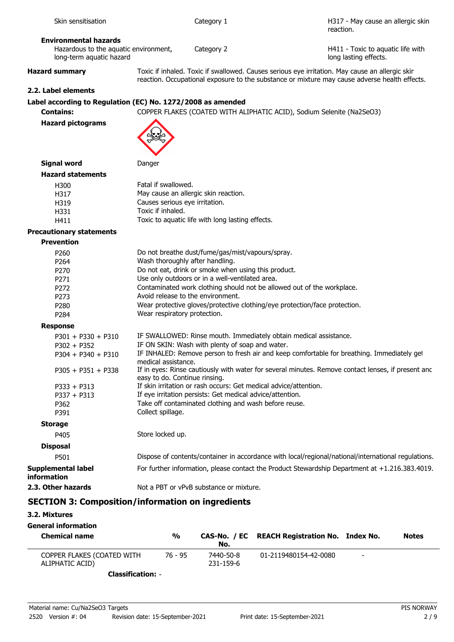| Skin sensitisation                                                |                                   | Category 1                                                |                                                                                                 | H317 - May cause an allergic skin<br>reaction.                                                      |
|-------------------------------------------------------------------|-----------------------------------|-----------------------------------------------------------|-------------------------------------------------------------------------------------------------|-----------------------------------------------------------------------------------------------------|
| <b>Environmental hazards</b>                                      |                                   |                                                           |                                                                                                 |                                                                                                     |
| Hazardous to the aquatic environment,<br>long-term aquatic hazard |                                   | Category 2                                                |                                                                                                 | H411 - Toxic to aquatic life with<br>long lasting effects.                                          |
| <b>Hazard summary</b>                                             |                                   |                                                           | Toxic if inhaled. Toxic if swallowed. Causes serious eye irritation. May cause an allergic skir | reaction. Occupational exposure to the substance or mixture may cause adverse health effects.       |
| 2.2. Label elements                                               |                                   |                                                           |                                                                                                 |                                                                                                     |
| Label according to Regulation (EC) No. 1272/2008 as amended       |                                   |                                                           |                                                                                                 |                                                                                                     |
| <b>Contains:</b>                                                  |                                   |                                                           | COPPER FLAKES (COATED WITH ALIPHATIC ACID), Sodium Selenite (Na2SeO3)                           |                                                                                                     |
| <b>Hazard pictograms</b>                                          |                                   |                                                           |                                                                                                 |                                                                                                     |
|                                                                   |                                   |                                                           |                                                                                                 |                                                                                                     |
| <b>Signal word</b>                                                | Danger                            |                                                           |                                                                                                 |                                                                                                     |
| <b>Hazard statements</b>                                          |                                   |                                                           |                                                                                                 |                                                                                                     |
| H300                                                              | Fatal if swallowed.               |                                                           |                                                                                                 |                                                                                                     |
| H317                                                              |                                   | May cause an allergic skin reaction.                      |                                                                                                 |                                                                                                     |
| H319                                                              | Causes serious eye irritation.    |                                                           |                                                                                                 |                                                                                                     |
| H331                                                              | Toxic if inhaled.                 | Toxic to aquatic life with long lasting effects.          |                                                                                                 |                                                                                                     |
| H411                                                              |                                   |                                                           |                                                                                                 |                                                                                                     |
| <b>Precautionary statements</b>                                   |                                   |                                                           |                                                                                                 |                                                                                                     |
| <b>Prevention</b>                                                 |                                   | Do not breathe dust/fume/gas/mist/vapours/spray.          |                                                                                                 |                                                                                                     |
| P <sub>260</sub><br>P264                                          | Wash thoroughly after handling.   |                                                           |                                                                                                 |                                                                                                     |
| P270                                                              |                                   | Do not eat, drink or smoke when using this product.       |                                                                                                 |                                                                                                     |
| P271                                                              |                                   | Use only outdoors or in a well-ventilated area.           |                                                                                                 |                                                                                                     |
| P272                                                              |                                   |                                                           | Contaminated work clothing should not be allowed out of the workplace.                          |                                                                                                     |
| P273                                                              | Avoid release to the environment. |                                                           |                                                                                                 |                                                                                                     |
| P280<br>P284                                                      | Wear respiratory protection.      |                                                           | Wear protective gloves/protective clothing/eye protection/face protection.                      |                                                                                                     |
| <b>Response</b>                                                   |                                   |                                                           |                                                                                                 |                                                                                                     |
| $P301 + P330 + P310$                                              |                                   |                                                           | IF SWALLOWED: Rinse mouth. Immediately obtain medical assistance.                               |                                                                                                     |
| $P302 + P352$                                                     |                                   | IF ON SKIN: Wash with plenty of soap and water.           |                                                                                                 |                                                                                                     |
| $P304 + P340 + P310$                                              | medical assistance.               |                                                           |                                                                                                 | IF INHALED: Remove person to fresh air and keep comfortable for breathing. Immediately get          |
| $P305 + P351 + P338$                                              | easy to do. Continue rinsing.     |                                                           |                                                                                                 | If in eyes: Rinse cautiously with water for several minutes. Remove contact lenses, if present anc  |
| $P333 + P313$<br>$P337 + P313$                                    |                                   | If eye irritation persists: Get medical advice/attention. | If skin irritation or rash occurs: Get medical advice/attention.                                |                                                                                                     |
| P362                                                              |                                   | Take off contaminated clothing and wash before reuse.     |                                                                                                 |                                                                                                     |
| P391                                                              | Collect spillage.                 |                                                           |                                                                                                 |                                                                                                     |
| <b>Storage</b>                                                    |                                   |                                                           |                                                                                                 |                                                                                                     |
| P405                                                              | Store locked up.                  |                                                           |                                                                                                 |                                                                                                     |
| <b>Disposal</b>                                                   |                                   |                                                           |                                                                                                 |                                                                                                     |
| P501                                                              |                                   |                                                           |                                                                                                 | Dispose of contents/container in accordance with local/regional/national/international regulations. |
| <b>Supplemental label</b>                                         |                                   |                                                           |                                                                                                 | For further information, please contact the Product Stewardship Department at +1.216.383.4019.      |
| information                                                       |                                   |                                                           |                                                                                                 |                                                                                                     |
| 2.3. Other hazards                                                |                                   | Not a PBT or vPvB substance or mixture.                   |                                                                                                 |                                                                                                     |
| <b>SECTION 3: Composition/information on ingredients</b>          |                                   |                                                           |                                                                                                 |                                                                                                     |
| 3.2. Mixtures                                                     |                                   |                                                           |                                                                                                 |                                                                                                     |
|                                                                   |                                   |                                                           |                                                                                                 |                                                                                                     |
| <b>General information</b><br><b>Chemical name</b>                | $\frac{1}{2}$                     |                                                           |                                                                                                 |                                                                                                     |
|                                                                   |                                   | CAS-No. / EC<br>No.                                       | <b>REACH Registration No. Index No.</b>                                                         | <b>Notes</b>                                                                                        |
| COPPER FLAKES (COATED WITH<br>ALIPHATIC ACID)                     | 76 - 95                           | 7440-50-8<br>231-159-6                                    | 01-2119480154-42-0080                                                                           |                                                                                                     |

**Classification:** -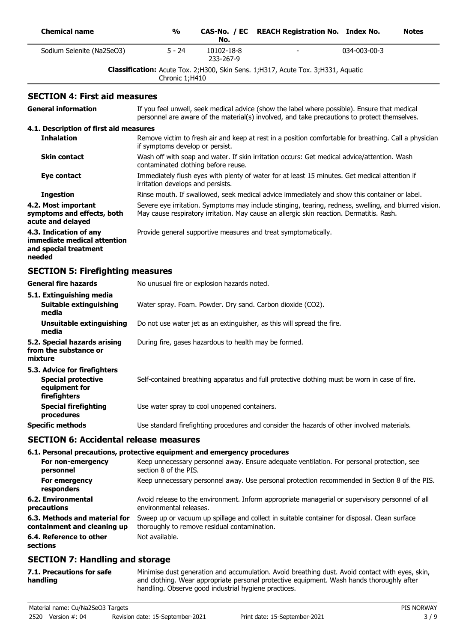| <b>Chemical name</b>                                                                       | $\frac{1}{2}$                                         | CAS-No. / EC<br>No.     | <b>REACH Registration No. Index No.</b>                                                                                                                                                           |              | <b>Notes</b> |
|--------------------------------------------------------------------------------------------|-------------------------------------------------------|-------------------------|---------------------------------------------------------------------------------------------------------------------------------------------------------------------------------------------------|--------------|--------------|
| Sodium Selenite (Na2SeO3)                                                                  | $5 - 24$                                              | 10102-18-8<br>233-267-9 |                                                                                                                                                                                                   | 034-003-00-3 |              |
|                                                                                            | Chronic 1;H410                                        |                         | Classification: Acute Tox. 2;H300, Skin Sens. 1;H317, Acute Tox. 3;H331, Aquatic                                                                                                                  |              |              |
| <b>SECTION 4: First aid measures</b>                                                       |                                                       |                         |                                                                                                                                                                                                   |              |              |
| <b>General information</b>                                                                 |                                                       |                         | If you feel unwell, seek medical advice (show the label where possible). Ensure that medical<br>personnel are aware of the material(s) involved, and take precautions to protect themselves.      |              |              |
| 4.1. Description of first aid measures                                                     |                                                       |                         |                                                                                                                                                                                                   |              |              |
| <b>Inhalation</b>                                                                          | if symptoms develop or persist.                       |                         | Remove victim to fresh air and keep at rest in a position comfortable for breathing. Call a physician                                                                                             |              |              |
| <b>Skin contact</b>                                                                        | contaminated clothing before reuse.                   |                         | Wash off with soap and water. If skin irritation occurs: Get medical advice/attention. Wash                                                                                                       |              |              |
| <b>Eye contact</b>                                                                         | irritation develops and persists.                     |                         | Immediately flush eyes with plenty of water for at least 15 minutes. Get medical attention if                                                                                                     |              |              |
| <b>Ingestion</b>                                                                           |                                                       |                         | Rinse mouth. If swallowed, seek medical advice immediately and show this container or label.                                                                                                      |              |              |
| 4.2. Most important<br>symptoms and effects, both<br>acute and delayed                     |                                                       |                         | Severe eye irritation. Symptoms may include stinging, tearing, redness, swelling, and blurred vision.<br>May cause respiratory irritation. May cause an allergic skin reaction. Dermatitis. Rash. |              |              |
| 4.3. Indication of any<br>immediate medical attention<br>and special treatment<br>needed   |                                                       |                         | Provide general supportive measures and treat symptomatically.                                                                                                                                    |              |              |
| <b>SECTION 5: Firefighting measures</b>                                                    |                                                       |                         |                                                                                                                                                                                                   |              |              |
| <b>General fire hazards</b>                                                                | No unusual fire or explosion hazards noted.           |                         |                                                                                                                                                                                                   |              |              |
| 5.1. Extinguishing media<br><b>Suitable extinguishing</b><br>media                         |                                                       |                         | Water spray. Foam. Powder. Dry sand. Carbon dioxide (CO2).                                                                                                                                        |              |              |
| <b>Unsuitable extinguishing</b><br>media                                                   |                                                       |                         | Do not use water jet as an extinguisher, as this will spread the fire.                                                                                                                            |              |              |
| 5.2. Special hazards arising<br>from the substance or<br>mixture                           | During fire, gases hazardous to health may be formed. |                         |                                                                                                                                                                                                   |              |              |
| 5.3. Advice for firefighters<br><b>Special protective</b><br>equipment for<br>firefighters |                                                       |                         | Self-contained breathing apparatus and full protective clothing must be worn in case of fire.                                                                                                     |              |              |
| <b>Special firefighting</b><br>procedures                                                  | Use water spray to cool unopened containers.          |                         |                                                                                                                                                                                                   |              |              |
| <b>Specific methods</b>                                                                    |                                                       |                         | Use standard firefighting procedures and consider the hazards of other involved materials.                                                                                                        |              |              |
| <b>SECTION 6: Accidental release measures</b>                                              |                                                       |                         |                                                                                                                                                                                                   |              |              |
| 6.1. Personal precautions, protective equipment and emergency procedures                   |                                                       |                         |                                                                                                                                                                                                   |              |              |
| For non-emergency<br>personnel                                                             | section 8 of the PIS.                                 |                         | Keep unnecessary personnel away. Ensure adequate ventilation. For personal protection, see                                                                                                        |              |              |
| For emergency<br>responders                                                                |                                                       |                         | Keep unnecessary personnel away. Use personal protection recommended in Section 8 of the PIS.                                                                                                     |              |              |
| 6.2. Environmental<br>precautions                                                          | environmental releases.                               |                         | Avoid release to the environment. Inform appropriate managerial or supervisory personnel of all                                                                                                   |              |              |
| 6.3. Methods and material for<br>containment and cleaning up                               | thoroughly to remove residual contamination.          |                         | Sweep up or vacuum up spillage and collect in suitable container for disposal. Clean surface                                                                                                      |              |              |
| 6.4. Reference to other<br>sections                                                        | Not available.                                        |                         |                                                                                                                                                                                                   |              |              |
| <b>SECTION 7: Handling and storage</b>                                                     |                                                       |                         |                                                                                                                                                                                                   |              |              |
| 7.1. Precautions for safe<br>handling                                                      | handling. Observe good industrial hygiene practices.  |                         | Minimise dust generation and accumulation. Avoid breathing dust. Avoid contact with eyes, skin,<br>and clothing. Wear appropriate personal protective equipment. Wash hands thoroughly after      |              |              |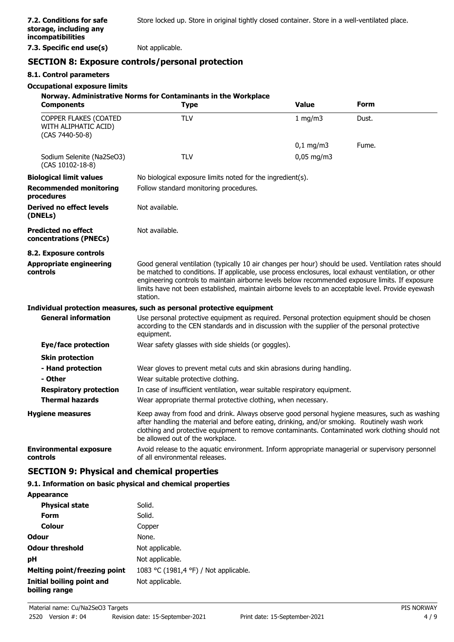**7.3. Specific end use(s)** Not applicable.

## **SECTION 8: Exposure controls/personal protection**

#### **8.1. Control parameters**

#### **Occupational exposure limits**

| <b>Components</b>                                                | Norway. Administrative Norms for Contaminants in the Workplace<br><b>Type</b>                                                                                                                                                                                                                                                                                                                                                      | <b>Value</b>                                               | Form  |  |
|------------------------------------------------------------------|------------------------------------------------------------------------------------------------------------------------------------------------------------------------------------------------------------------------------------------------------------------------------------------------------------------------------------------------------------------------------------------------------------------------------------|------------------------------------------------------------|-------|--|
| COPPER FLAKES (COATED<br>WITH ALIPHATIC ACID)<br>(CAS 7440-50-8) | <b>TLV</b>                                                                                                                                                                                                                                                                                                                                                                                                                         | 1 mg/m3                                                    | Dust. |  |
|                                                                  |                                                                                                                                                                                                                                                                                                                                                                                                                                    | $0,1 \, \text{mg/m}$                                       | Fume. |  |
| Sodium Selenite (Na2SeO3)<br>(CAS 10102-18-8)                    | <b>TLV</b>                                                                                                                                                                                                                                                                                                                                                                                                                         | $0,05 \text{ mg/m}$ 3                                      |       |  |
| <b>Biological limit values</b>                                   |                                                                                                                                                                                                                                                                                                                                                                                                                                    | No biological exposure limits noted for the ingredient(s). |       |  |
| <b>Recommended monitoring</b><br>procedures                      | Follow standard monitoring procedures.                                                                                                                                                                                                                                                                                                                                                                                             |                                                            |       |  |
| <b>Derived no effect levels</b><br>(DNELs)                       | Not available.                                                                                                                                                                                                                                                                                                                                                                                                                     |                                                            |       |  |
| <b>Predicted no effect</b><br>concentrations (PNECs)             | Not available.                                                                                                                                                                                                                                                                                                                                                                                                                     |                                                            |       |  |
| 8.2. Exposure controls                                           |                                                                                                                                                                                                                                                                                                                                                                                                                                    |                                                            |       |  |
| <b>Appropriate engineering</b><br>controls                       | Good general ventilation (typically 10 air changes per hour) should be used. Ventilation rates should<br>be matched to conditions. If applicable, use process enclosures, local exhaust ventilation, or other<br>engineering controls to maintain airborne levels below recommended exposure limits. If exposure<br>limits have not been established, maintain airborne levels to an acceptable level. Provide eyewash<br>station. |                                                            |       |  |
|                                                                  | Individual protection measures, such as personal protective equipment                                                                                                                                                                                                                                                                                                                                                              |                                                            |       |  |
| <b>General information</b>                                       | Use personal protective equipment as required. Personal protection equipment should be chosen<br>according to the CEN standards and in discussion with the supplier of the personal protective<br>equipment.                                                                                                                                                                                                                       |                                                            |       |  |
| Eye/face protection                                              | Wear safety glasses with side shields (or goggles).                                                                                                                                                                                                                                                                                                                                                                                |                                                            |       |  |
| <b>Skin protection</b>                                           |                                                                                                                                                                                                                                                                                                                                                                                                                                    |                                                            |       |  |
| - Hand protection                                                | Wear gloves to prevent metal cuts and skin abrasions during handling.                                                                                                                                                                                                                                                                                                                                                              |                                                            |       |  |
| - Other                                                          | Wear suitable protective clothing.                                                                                                                                                                                                                                                                                                                                                                                                 |                                                            |       |  |
| <b>Respiratory protection</b>                                    | In case of insufficient ventilation, wear suitable respiratory equipment.                                                                                                                                                                                                                                                                                                                                                          |                                                            |       |  |
| <b>Thermal hazards</b>                                           | Wear appropriate thermal protective clothing, when necessary.                                                                                                                                                                                                                                                                                                                                                                      |                                                            |       |  |
| <b>Hygiene measures</b>                                          | Keep away from food and drink. Always observe good personal hygiene measures, such as washing<br>after handling the material and before eating, drinking, and/or smoking. Routinely wash work<br>clothing and protective equipment to remove contaminants. Contaminated work clothing should not<br>be allowed out of the workplace.                                                                                               |                                                            |       |  |
| <b>Environmental exposure</b><br>controls                        | Avoid release to the aquatic environment. Inform appropriate managerial or supervisory personnel<br>of all environmental releases.                                                                                                                                                                                                                                                                                                 |                                                            |       |  |

## **SECTION 9: Physical and chemical properties**

### **9.1. Information on basic physical and chemical properties**

| <b>Appearance</b>                          |                                       |
|--------------------------------------------|---------------------------------------|
| <b>Physical state</b>                      | Solid.                                |
| Form                                       | Solid.                                |
| <b>Colour</b>                              | Copper                                |
| Odour                                      | None.                                 |
| <b>Odour threshold</b>                     | Not applicable.                       |
| рH                                         | Not applicable.                       |
| <b>Melting point/freezing point</b>        | 1083 °C (1981,4 °F) / Not applicable. |
| Initial boiling point and<br>boiling range | Not applicable.                       |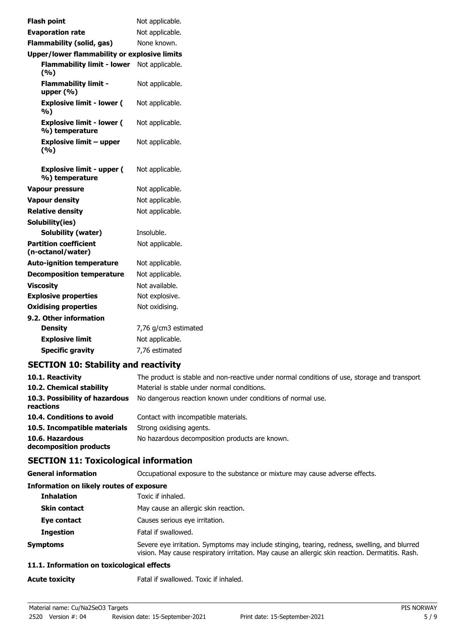| <b>Flash point</b>                                 | Not applicable.      |
|----------------------------------------------------|----------------------|
| <b>Evaporation rate</b>                            | Not applicable.      |
| <b>Flammability (solid, gas)</b>                   | None known.          |
| Upper/lower flammability or explosive limits       |                      |
| Flammability limit - lower Not applicable.<br>(%)  |                      |
| <b>Flammability limit -</b><br>upper $(% )$        | Not applicable.      |
| <b>Explosive limit - lower (</b><br>%)             | Not applicable.      |
| <b>Explosive limit - lower (</b><br>%) temperature | Not applicable.      |
| <b>Explosive limit - upper</b><br>(9/6)            | Not applicable.      |
| <b>Explosive limit - upper (</b><br>%) temperature | Not applicable.      |
| <b>Vapour pressure</b>                             | Not applicable.      |
| <b>Vapour density</b>                              | Not applicable.      |
| <b>Relative density</b>                            | Not applicable.      |
| Solubility(ies)                                    |                      |
| Solubility (water)                                 | Insoluble.           |
| <b>Partition coefficient</b><br>(n-octanol/water)  | Not applicable.      |
| <b>Auto-ignition temperature</b>                   | Not applicable.      |
| <b>Decomposition temperature</b>                   | Not applicable.      |
| <b>Viscosity</b>                                   | Not available.       |
| <b>Explosive properties</b>                        | Not explosive.       |
| <b>Oxidising properties</b>                        | Not oxidising.       |
| 9.2. Other information                             |                      |
| <b>Density</b>                                     | 7,76 g/cm3 estimated |
| <b>Explosive limit</b>                             | Not applicable.      |
| <b>Specific gravity</b>                            | 7,76 estimated       |
| <b>SECTION 10: Stability and reactivity</b>        |                      |
|                                                    | $\cdots$             |

| 10.1. Reactivity                            | The product is stable and non-reactive under normal conditions of use, storage and transport. |
|---------------------------------------------|-----------------------------------------------------------------------------------------------|
| 10.2. Chemical stability                    | Material is stable under normal conditions.                                                   |
| 10.3. Possibility of hazardous<br>reactions | No dangerous reaction known under conditions of normal use.                                   |
| 10.4. Conditions to avoid                   | Contact with incompatible materials.                                                          |
| 10.5. Incompatible materials                | Strong oxidising agents.                                                                      |
| 10.6. Hazardous<br>decomposition products   | No hazardous decomposition products are known.                                                |

# **SECTION 11: Toxicological information**

**General information CCCUPATION** Occupational exposure to the substance or mixture may cause adverse effects.

| <b>Information on likely routes of exposure</b> |                                                                                                                                                                                                   |
|-------------------------------------------------|---------------------------------------------------------------------------------------------------------------------------------------------------------------------------------------------------|
| <b>Inhalation</b>                               | Toxic if inhaled.                                                                                                                                                                                 |
| <b>Skin contact</b>                             | May cause an allergic skin reaction.                                                                                                                                                              |
| Eye contact                                     | Causes serious eye irritation.                                                                                                                                                                    |
| <b>Ingestion</b>                                | Fatal if swallowed.                                                                                                                                                                               |
| Symptoms                                        | Severe eye irritation. Symptoms may include stinging, tearing, redness, swelling, and blurred<br>vision. May cause respiratory irritation. May cause an allergic skin reaction. Dermatitis. Rash. |
| 11.1. Information on toxicological effects      |                                                                                                                                                                                                   |

## **11.1. Information on toxicological effects**

**Acute toxicity** Fatal if swallowed. Toxic if inhaled.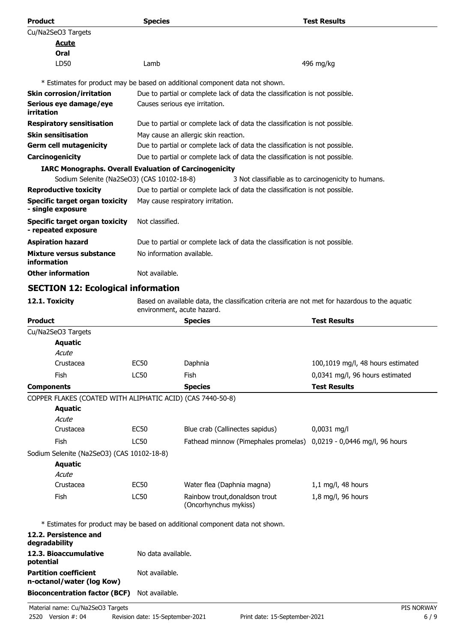| <b>Product</b>                                                | <b>Species</b>                 |                                                                                               | <b>Test Results</b>                                 |
|---------------------------------------------------------------|--------------------------------|-----------------------------------------------------------------------------------------------|-----------------------------------------------------|
| Cu/Na2SeO3 Targets                                            |                                |                                                                                               |                                                     |
| <u>Acute</u>                                                  |                                |                                                                                               |                                                     |
| Oral                                                          |                                |                                                                                               |                                                     |
| LD50                                                          | Lamb                           |                                                                                               | 496 mg/kg                                           |
|                                                               |                                | * Estimates for product may be based on additional component data not shown.                  |                                                     |
| <b>Skin corrosion/irritation</b>                              |                                | Due to partial or complete lack of data the classification is not possible.                   |                                                     |
| Serious eye damage/eye<br>irritation                          | Causes serious eye irritation. |                                                                                               |                                                     |
| <b>Respiratory sensitisation</b>                              |                                | Due to partial or complete lack of data the classification is not possible.                   |                                                     |
| <b>Skin sensitisation</b>                                     |                                | May cause an allergic skin reaction.                                                          |                                                     |
| <b>Germ cell mutagenicity</b>                                 |                                | Due to partial or complete lack of data the classification is not possible.                   |                                                     |
| Carcinogenicity                                               |                                | Due to partial or complete lack of data the classification is not possible.                   |                                                     |
| <b>IARC Monographs. Overall Evaluation of Carcinogenicity</b> |                                |                                                                                               |                                                     |
| Sodium Selenite (Na2SeO3) (CAS 10102-18-8)                    |                                |                                                                                               | 3 Not classifiable as to carcinogenicity to humans. |
| <b>Reproductive toxicity</b>                                  |                                | Due to partial or complete lack of data the classification is not possible.                   |                                                     |
| <b>Specific target organ toxicity</b><br>- single exposure    |                                | May cause respiratory irritation.                                                             |                                                     |
| <b>Specific target organ toxicity</b><br>- repeated exposure  | Not classified.                |                                                                                               |                                                     |
| <b>Aspiration hazard</b>                                      |                                | Due to partial or complete lack of data the classification is not possible.                   |                                                     |
| Mixture versus substance<br>information                       | No information available.      |                                                                                               |                                                     |
| <b>Other information</b>                                      | Not available.                 |                                                                                               |                                                     |
| <b>SECTION 12: Ecological information</b>                     |                                |                                                                                               |                                                     |
| 12.1. Toxicity                                                | environment, acute hazard.     | Based on available data, the classification criteria are not met for hazardous to the aquatic |                                                     |
| <b>Product</b>                                                |                                | <b>Species</b>                                                                                | <b>Test Results</b>                                 |
|                                                               |                                |                                                                                               |                                                     |
| Cu/Na2SeO3 Targets                                            |                                |                                                                                               |                                                     |
| <b>Aquatic</b>                                                |                                |                                                                                               |                                                     |
| Acute                                                         |                                |                                                                                               |                                                     |
| Crustacea                                                     | <b>EC50</b>                    | Daphnia                                                                                       | 100,1019 mg/l, 48 hours estimated                   |
| Fish                                                          | LC50                           | Fish                                                                                          | 0,0341 mg/l, 96 hours estimated                     |
| <b>Components</b>                                             |                                | <b>Species</b>                                                                                | <b>Test Results</b>                                 |
| COPPER FLAKES (COATED WITH ALIPHATIC ACID) (CAS 7440-50-8)    |                                |                                                                                               |                                                     |
| <b>Aquatic</b>                                                |                                |                                                                                               |                                                     |
| Acute                                                         |                                |                                                                                               |                                                     |
| Crustacea                                                     | <b>EC50</b>                    | Blue crab (Callinectes sapidus)                                                               | $0,0031$ mg/l                                       |
| Fish                                                          | LC50                           | Fathead minnow (Pimephales promelas) 0,0219 - 0,0446 mg/l, 96 hours                           |                                                     |
| Sodium Selenite (Na2SeO3) (CAS 10102-18-8)                    |                                |                                                                                               |                                                     |
| <b>Aquatic</b>                                                |                                |                                                                                               |                                                     |
| Acute                                                         |                                |                                                                                               |                                                     |
| Crustacea                                                     | <b>EC50</b>                    | Water flea (Daphnia magna)                                                                    | $1,1$ mg/l, 48 hours                                |
| Fish                                                          | LC50                           | Rainbow trout, donaldson trout<br>(Oncorhynchus mykiss)                                       | 1,8 mg/l, 96 hours                                  |
|                                                               |                                | * Estimates for product may be based on additional component data not shown.                  |                                                     |
| 12.2. Persistence and<br>degradability                        |                                |                                                                                               |                                                     |
| 12.3. Bioaccumulative<br>potential                            | No data available.             |                                                                                               |                                                     |
| <b>Partition coefficient</b><br>n-octanol/water (log Kow)     | Not available.                 |                                                                                               |                                                     |
| <b>Bioconcentration factor (BCF)</b>                          | Not available.                 |                                                                                               |                                                     |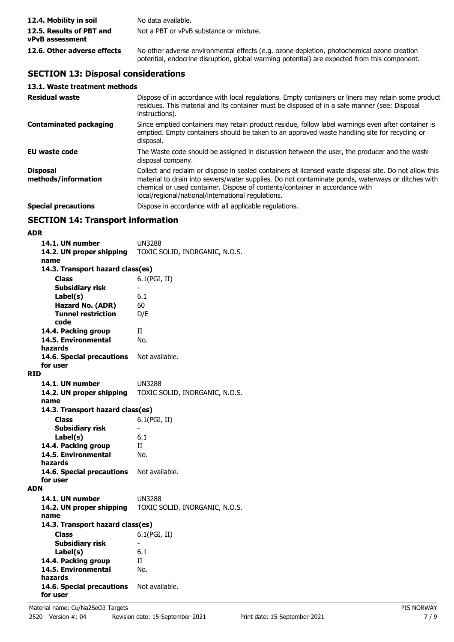| 12.4. Mobility in soil                      | No data available.                                                                                                                                                                         |
|---------------------------------------------|--------------------------------------------------------------------------------------------------------------------------------------------------------------------------------------------|
| 12.5. Results of PBT and<br>vPvB assessment | Not a PBT or vPvB substance or mixture.                                                                                                                                                    |
| 12.6. Other adverse effects                 | No other adverse environmental effects (e.g. ozone depletion, photochemical ozone creation<br>potential, endocrine disruption, global warming potential) are expected from this component. |

## **SECTION 13: Disposal considerations**

## **13.1. Waste treatment methods**

| <b>Residual waste</b>                  | Dispose of in accordance with local regulations. Empty containers or liners may retain some product<br>residues. This material and its container must be disposed of in a safe manner (see: Disposal<br>instructions).                                                                                                                            |
|----------------------------------------|---------------------------------------------------------------------------------------------------------------------------------------------------------------------------------------------------------------------------------------------------------------------------------------------------------------------------------------------------|
| <b>Contaminated packaging</b>          | Since emptied containers may retain product residue, follow label warnings even after container is<br>emptied. Empty containers should be taken to an approved waste handling site for recycling or<br>disposal.                                                                                                                                  |
| EU waste code                          | The Waste code should be assigned in discussion between the user, the producer and the waste<br>disposal company.                                                                                                                                                                                                                                 |
| <b>Disposal</b><br>methods/information | Collect and reclaim or dispose in sealed containers at licensed waste disposal site. Do not allow this<br>material to drain into sewers/water supplies. Do not contaminate ponds, waterways or ditches with<br>chemical or used container. Dispose of contents/container in accordance with<br>local/regional/national/international regulations. |
| <b>Special precautions</b>             | Dispose in accordance with all applicable regulations.                                                                                                                                                                                                                                                                                            |

## **SECTION 14: Transport information**

#### **ADR**

| 14.1. UN number<br>14.2. UN proper shipping<br>name | UN3288<br>TOXIC SOLID, INORGANIC, N.O.S. |  |
|-----------------------------------------------------|------------------------------------------|--|
| 14.3. Transport hazard class(es)                    |                                          |  |
| <b>Class</b>                                        | 6.1(PGI, II)                             |  |
| Subsidiary risk                                     | $\overline{\phantom{0}}$                 |  |
| Label(s)                                            | 6.1                                      |  |
| Hazard No. (ADR)                                    | 60                                       |  |
| <b>Tunnel restriction</b><br>code                   | D/E                                      |  |
| 14.4. Packing group                                 | П                                        |  |
| 14.5. Environmental                                 | No.                                      |  |
| hazards                                             |                                          |  |
| 14.6. Special precautions                           | Not available.                           |  |
| for user                                            |                                          |  |
| RID                                                 |                                          |  |
| 14.1. UN number                                     | UN3288                                   |  |
| 14.2. UN proper shipping<br>name                    | TOXIC SOLID, INORGANIC, N.O.S.           |  |
| 14.3. Transport hazard class(es)                    |                                          |  |
| Class                                               | 6.1(PGI, II)                             |  |
| Subsidiary risk                                     |                                          |  |
| Label(s)                                            | 6.1                                      |  |
| 14.4. Packing group                                 | Π                                        |  |
| 14.5. Environmental                                 | No.                                      |  |
| hazards                                             |                                          |  |
| 14.6. Special precautions Not available.            |                                          |  |
| for user                                            |                                          |  |
| <b>ADN</b>                                          |                                          |  |
| 14.1. UN number                                     | <b>UN3288</b>                            |  |
| 14.2. UN proper shipping                            | TOXIC SOLID, INORGANIC, N.O.S.           |  |
| name                                                |                                          |  |
| 14.3. Transport hazard class(es)                    |                                          |  |
| <b>Class</b>                                        | 6.1(PGI, II)                             |  |
| <b>Subsidiary risk</b>                              | $\overline{\phantom{a}}$                 |  |
| Label(s)                                            | 6.1                                      |  |
| 14.4. Packing group<br>14.5. Environmental          | П                                        |  |
| hazards                                             | No.                                      |  |
| 14.6. Special precautions<br>for user               | Not available.                           |  |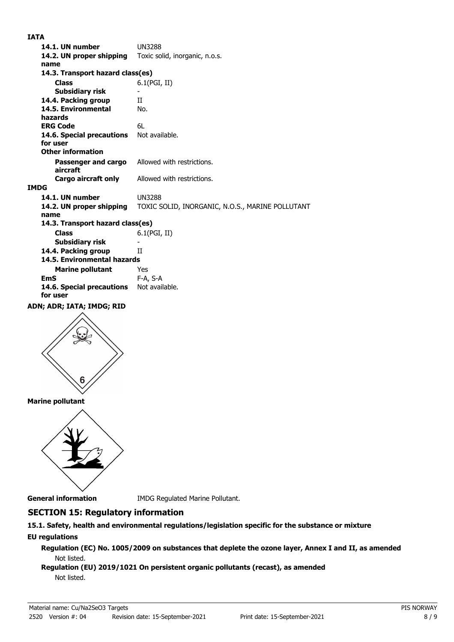## **IATA**

| 14.1. UN number                                                | <b>UN3288</b>                                    |
|----------------------------------------------------------------|--------------------------------------------------|
| <b>14.2. UN proper shipping</b> Toxic solid, inorganic, n.o.s. |                                                  |
| name                                                           |                                                  |
| 14.3. Transport hazard class(es)                               |                                                  |
| <b>Class</b>                                                   | 6.1(PGI, II)                                     |
| Subsidiary risk                                                |                                                  |
| 14.4. Packing group                                            | H                                                |
| 14.5. Environmental<br>hazards                                 | No.                                              |
| <b>ERG Code</b>                                                | 6I.                                              |
| 14.6. Special precautions<br>for user                          | Not available.                                   |
| <b>Other information</b>                                       |                                                  |
| Passenger and cargo<br>aircraft                                | Allowed with restrictions.                       |
| Cargo aircraft only                                            | Allowed with restrictions.                       |
| <b>IMDG</b>                                                    |                                                  |
| 14.1. UN number                                                | <b>UN3288</b>                                    |
| 14.2. UN proper shipping                                       | TOXIC SOLID, INORGANIC, N.O.S., MARINE POLLUTANT |
| name                                                           |                                                  |
| 14.3. Transport hazard class(es)                               |                                                  |
| <b>Class</b>                                                   | 6.1(PGI, II)                                     |
| <b>Subsidiary risk</b>                                         |                                                  |
| 14.4. Packing group                                            | Н                                                |
| 14.5. Environmental hazards                                    |                                                  |
| <b>Marine pollutant</b>                                        | Yes                                              |
| <b>EmS</b>                                                     | F-A, S-A                                         |
| 14.6. Special precautions<br>for user                          | Not available.                                   |
| .                                                              |                                                  |

### **ADN; ADR; IATA; IMDG; RID**



**Marine pollutant**



**General information** IMDG Regulated Marine Pollutant.

## **SECTION 15: Regulatory information**

## **15.1. Safety, health and environmental regulations/legislation specific for the substance or mixture EU regulations**

## **Regulation (EC) No. 1005/2009 on substances that deplete the ozone layer, Annex I and II, as amended** Not listed.

## **Regulation (EU) 2019/1021 On persistent organic pollutants (recast), as amended** Not listed.